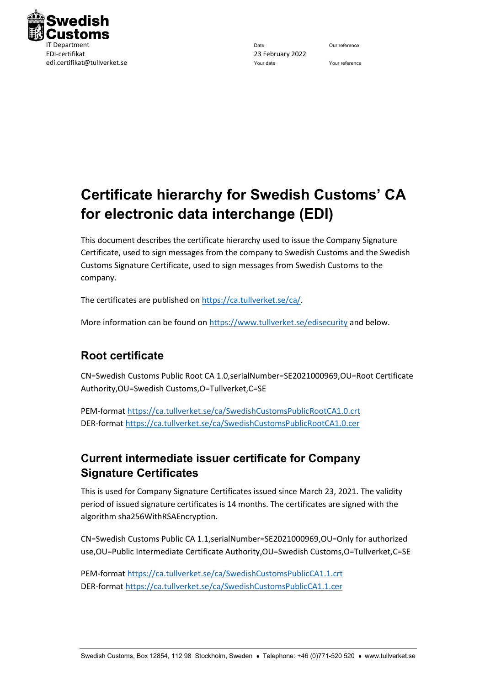

# **Certificate hierarchy for Swedish Customs' CA for electronic data interchange (EDI)**

This document describes the certificate hierarchy used to issue the Company Signature Certificate, used to sign messages from the company to Swedish Customs and the Swedish Customs Signature Certificate, used to sign messages from Swedish Customs to the company.

The certificates are published o[n https://ca.tullverket.se/ca/.](https://ca.tullverket.se/ca/)

More information can be found on<https://www.tullverket.se/edisecurity> and below.

## **Root certificate**

CN=Swedish Customs Public Root CA 1.0,serialNumber=SE2021000969,OU=Root Certificate Authority,OU=Swedish Customs,O=Tullverket,C=SE

PEM-format<https://ca.tullverket.se/ca/SwedishCustomsPublicRootCA1.0.crt> DER-format<https://ca.tullverket.se/ca/SwedishCustomsPublicRootCA1.0.cer>

# **Current intermediate issuer certificate for Company Signature Certificates**

This is used for Company Signature Certificates issued since March 23, 2021. The validity period of issued signature certificates is 14 months. The certificates are signed with the algorithm sha256WithRSAEncryption.

CN=Swedish Customs Public CA 1.1,serialNumber=SE2021000969,OU=Only for authorized use,OU=Public Intermediate Certificate Authority,OU=Swedish Customs,O=Tullverket,C=SE

PEM-format<https://ca.tullverket.se/ca/SwedishCustomsPublicCA1.1.crt> DER-format<https://ca.tullverket.se/ca/SwedishCustomsPublicCA1.1.cer>